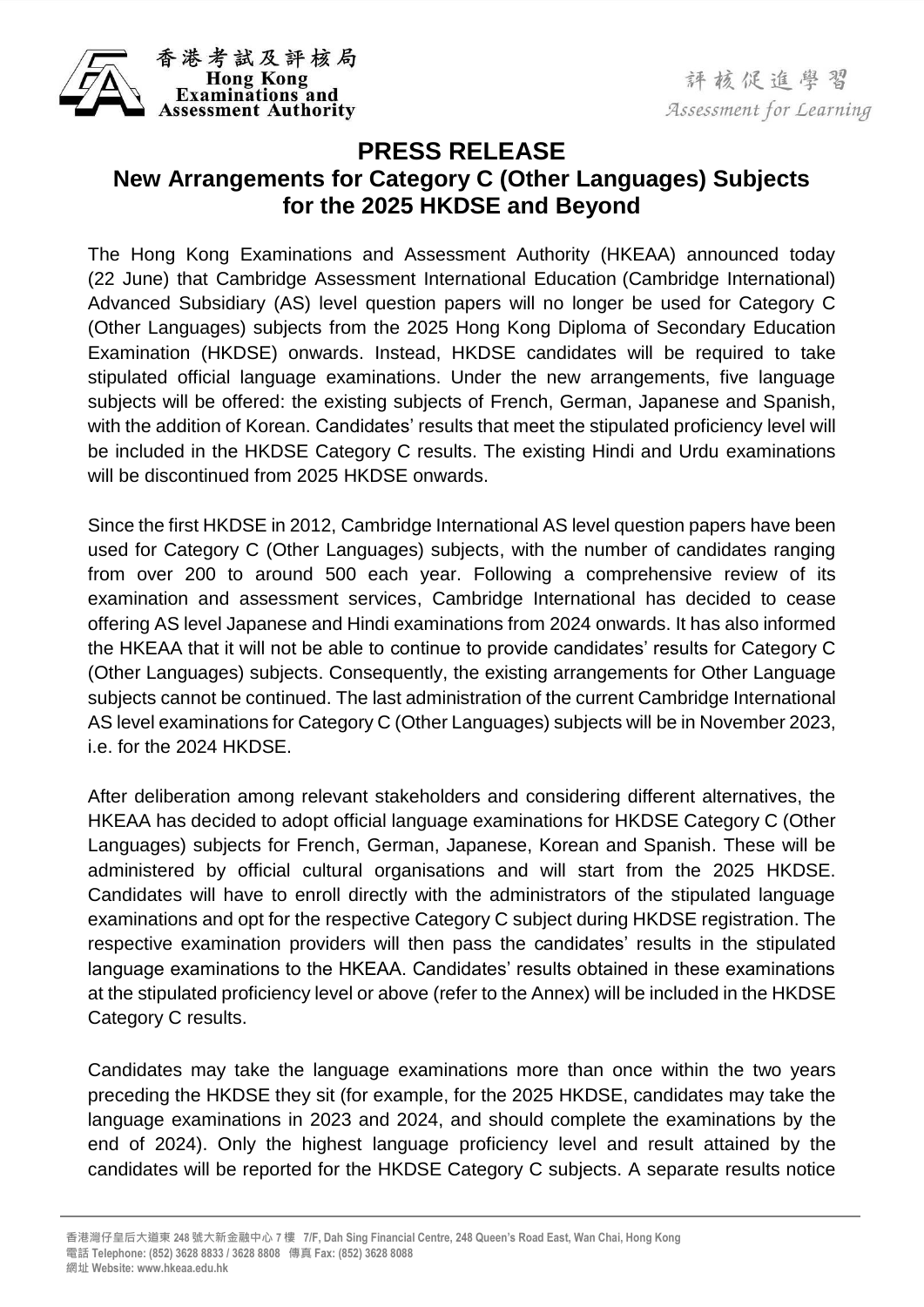

## **PRESS RELEASE New Arrangements for Category C (Other Languages) Subjects for the 2025 HKDSE and Beyond**

The Hong Kong Examinations and Assessment Authority (HKEAA) announced today (22 June) that Cambridge Assessment International Education (Cambridge International) Advanced Subsidiary (AS) level question papers will no longer be used for Category C (Other Languages) subjects from the 2025 Hong Kong Diploma of Secondary Education Examination (HKDSE) onwards. Instead, HKDSE candidates will be required to take stipulated official language examinations. Under the new arrangements, five language subjects will be offered: the existing subjects of French, German, Japanese and Spanish, with the addition of Korean. Candidates' results that meet the stipulated proficiency level will be included in the HKDSE Category C results. The existing Hindi and Urdu examinations will be discontinued from 2025 HKDSE onwards.

Since the first HKDSE in 2012, Cambridge International AS level question papers have been used for Category C (Other Languages) subjects, with the number of candidates ranging from over 200 to around 500 each year. Following a comprehensive review of its examination and assessment services, Cambridge International has decided to cease offering AS level Japanese and Hindi examinations from 2024 onwards. It has also informed the HKEAA that it will not be able to continue to provide candidates' results for Category C (Other Languages) subjects. Consequently, the existing arrangements for Other Language subjects cannot be continued. The last administration of the current Cambridge International AS level examinations for Category C (Other Languages) subjects will be in November 2023, i.e. for the 2024 HKDSE.

After deliberation among relevant stakeholders and considering different alternatives, the HKEAA has decided to adopt official language examinations for HKDSE Category C (Other Languages) subjects for French, German, Japanese, Korean and Spanish. These will be administered by official cultural organisations and will start from the 2025 HKDSE. Candidates will have to enroll directly with the administrators of the stipulated language examinations and opt for the respective Category C subject during HKDSE registration. The respective examination providers will then pass the candidates' results in the stipulated language examinations to the HKEAA. Candidates' results obtained in these examinations at the stipulated proficiency level or above (refer to the Annex) will be included in the HKDSE Category C results.

Candidates may take the language examinations more than once within the two years preceding the HKDSE they sit (for example, for the 2025 HKDSE, candidates may take the language examinations in 2023 and 2024, and should complete the examinations by the end of 2024). Only the highest language proficiency level and result attained by the candidates will be reported for the HKDSE Category C subjects. A separate results notice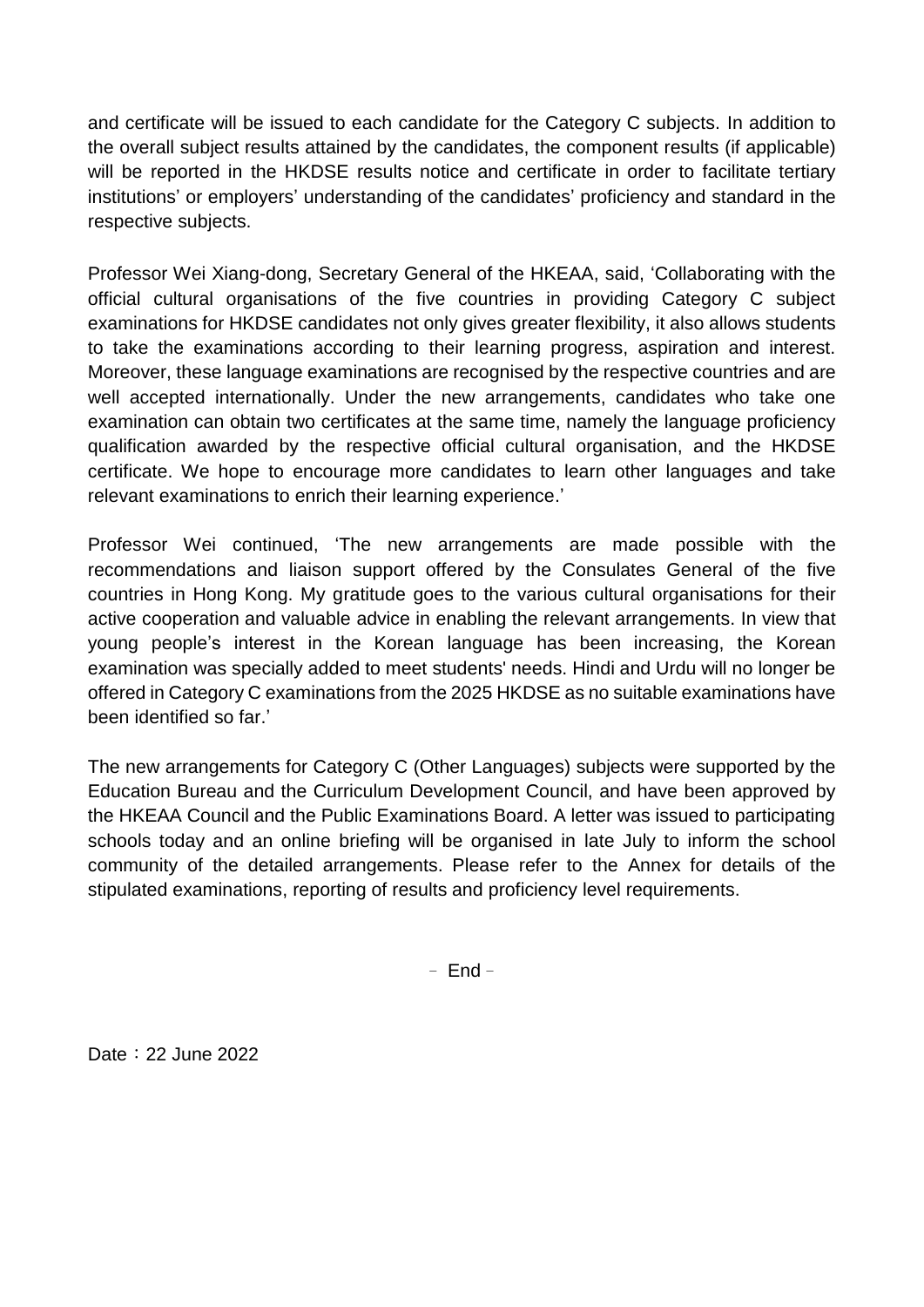and certificate will be issued to each candidate for the Category C subjects. In addition to the overall subject results attained by the candidates, the component results (if applicable) will be reported in the HKDSE results notice and certificate in order to facilitate tertiary institutions' or employers' understanding of the candidates' proficiency and standard in the respective subjects.

Professor Wei Xiang-dong, Secretary General of the HKEAA, said, 'Collaborating with the official cultural organisations of the five countries in providing Category C subject examinations for HKDSE candidates not only gives greater flexibility, it also allows students to take the examinations according to their learning progress, aspiration and interest. Moreover, these language examinations are recognised by the respective countries and are well accepted internationally. Under the new arrangements, candidates who take one examination can obtain two certificates at the same time, namely the language proficiency qualification awarded by the respective official cultural organisation, and the HKDSE certificate. We hope to encourage more candidates to learn other languages and take relevant examinations to enrich their learning experience.'

Professor Wei continued, 'The new arrangements are made possible with the recommendations and liaison support offered by the Consulates General of the five countries in Hong Kong. My gratitude goes to the various cultural organisations for their active cooperation and valuable advice in enabling the relevant arrangements. In view that young people's interest in the Korean language has been increasing, the Korean examination was specially added to meet students' needs. Hindi and Urdu will no longer be offered in Category C examinations from the 2025 HKDSE as no suitable examinations have been identified so far.'

The new arrangements for Category C (Other Languages) subjects were supported by the Education Bureau and the Curriculum Development Council, and have been approved by the HKEAA Council and the Public Examinations Board. A letter was issued to participating schools today and an online briefing will be organised in late July to inform the school community of the detailed arrangements. Please refer to the Annex for details of the stipulated examinations, reporting of results and proficiency level requirements.

– End–

Date: 22 June 2022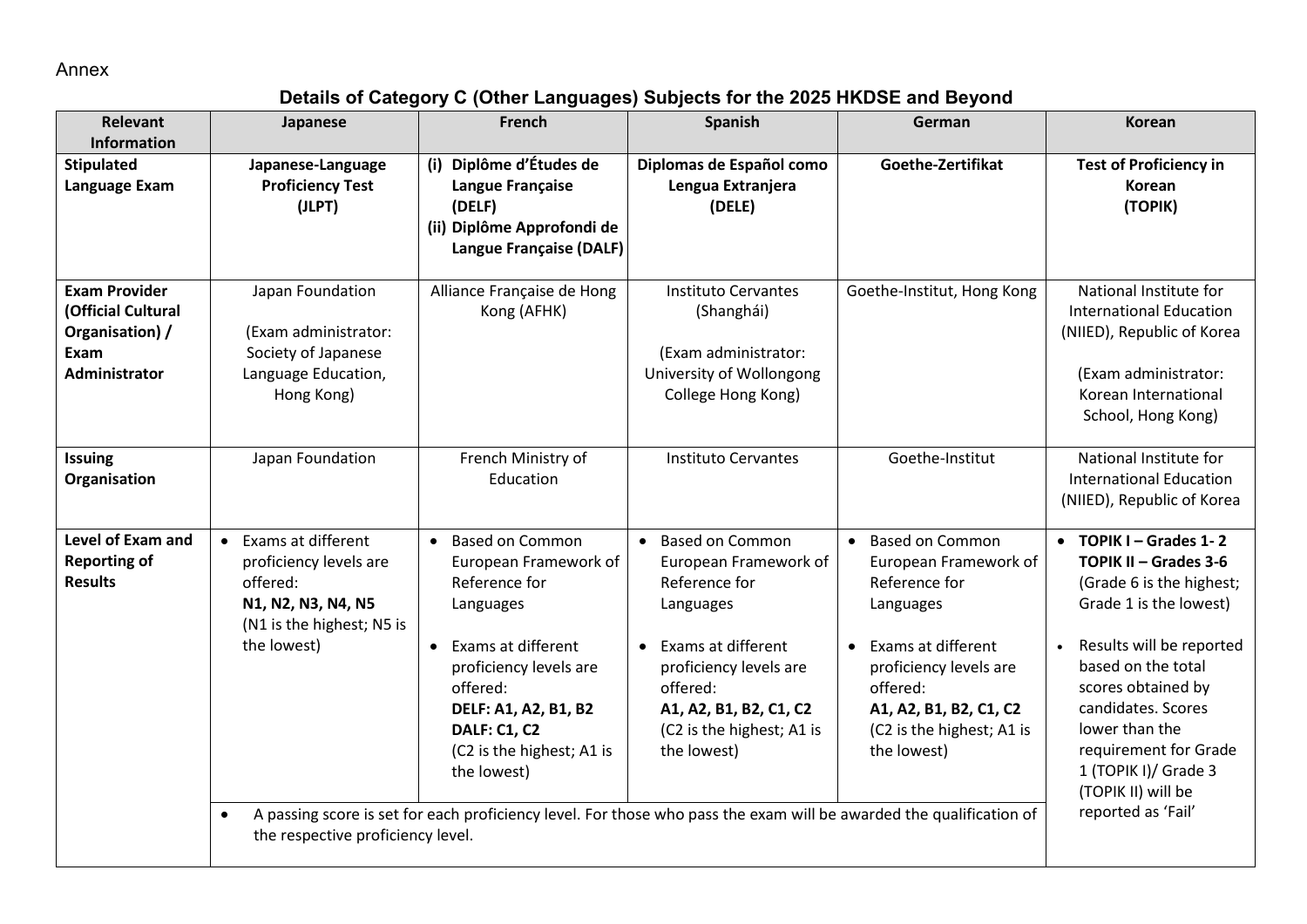Annex

## **Details of Category C (Other Languages) Subjects for the 2025 HKDSE and Beyond**

| <b>Relevant</b><br><b>Information</b>                                                         | Japanese                                                                                                                                                                       | French                                                                                                                                                                                                                                                                                                                                                                          | <b>Spanish</b>                                                                                                                                                                                                                            | German                                                                                                                                                                                                                                    | <b>Korean</b>                                                                                                                                                                                                                                                                                                                           |
|-----------------------------------------------------------------------------------------------|--------------------------------------------------------------------------------------------------------------------------------------------------------------------------------|---------------------------------------------------------------------------------------------------------------------------------------------------------------------------------------------------------------------------------------------------------------------------------------------------------------------------------------------------------------------------------|-------------------------------------------------------------------------------------------------------------------------------------------------------------------------------------------------------------------------------------------|-------------------------------------------------------------------------------------------------------------------------------------------------------------------------------------------------------------------------------------------|-----------------------------------------------------------------------------------------------------------------------------------------------------------------------------------------------------------------------------------------------------------------------------------------------------------------------------------------|
| <b>Stipulated</b><br>Language Exam                                                            | Japanese-Language<br><b>Proficiency Test</b><br>(JLPT)                                                                                                                         | (i) Diplôme d'Études de<br>Langue Française<br>(DELF)<br>(ii) Diplôme Approfondi de<br>Langue Française (DALF)                                                                                                                                                                                                                                                                  | Diplomas de Español como<br>Lengua Extranjera<br>(DELE)                                                                                                                                                                                   | Goethe-Zertifikat                                                                                                                                                                                                                         | <b>Test of Proficiency in</b><br>Korean<br>(TOPIK)                                                                                                                                                                                                                                                                                      |
| <b>Exam Provider</b><br>(Official Cultural<br>Organisation) /<br>Exam<br><b>Administrator</b> | Japan Foundation<br>(Exam administrator:<br>Society of Japanese<br>Language Education,<br>Hong Kong)                                                                           | Alliance Française de Hong<br>Kong (AFHK)                                                                                                                                                                                                                                                                                                                                       | <b>Instituto Cervantes</b><br>(Shanghái)<br>(Exam administrator:<br>University of Wollongong<br>College Hong Kong)                                                                                                                        | Goethe-Institut, Hong Kong                                                                                                                                                                                                                | National Institute for<br><b>International Education</b><br>(NIIED), Republic of Korea<br>(Exam administrator:<br>Korean International<br>School, Hong Kong)                                                                                                                                                                            |
| <b>Issuing</b><br>Organisation                                                                | Japan Foundation                                                                                                                                                               | French Ministry of<br>Education                                                                                                                                                                                                                                                                                                                                                 | <b>Instituto Cervantes</b>                                                                                                                                                                                                                | Goethe-Institut                                                                                                                                                                                                                           | National Institute for<br><b>International Education</b><br>(NIIED), Republic of Korea                                                                                                                                                                                                                                                  |
| <b>Level of Exam and</b><br><b>Reporting of</b><br><b>Results</b>                             | • Exams at different<br>proficiency levels are<br>offered:<br>N1, N2, N3, N4, N5<br>(N1 is the highest; N5 is<br>the lowest)<br>$\bullet$<br>the respective proficiency level. | <b>Based on Common</b><br>$\bullet$<br>European Framework of<br>Reference for<br>Languages<br>Exams at different<br>proficiency levels are<br>offered:<br><b>DELF: A1, A2, B1, B2</b><br><b>DALF: C1, C2</b><br>(C2 is the highest; A1 is<br>the lowest)<br>A passing score is set for each proficiency level. For those who pass the exam will be awarded the qualification of | <b>Based on Common</b><br>$\bullet$<br>European Framework of<br>Reference for<br>Languages<br>Exams at different<br>$\bullet$<br>proficiency levels are<br>offered:<br>A1, A2, B1, B2, C1, C2<br>(C2 is the highest; A1 is<br>the lowest) | <b>Based on Common</b><br>$\bullet$<br>European Framework of<br>Reference for<br>Languages<br>Exams at different<br>$\bullet$<br>proficiency levels are<br>offered:<br>A1, A2, B1, B2, C1, C2<br>(C2 is the highest; A1 is<br>the lowest) | $\bullet$ TOPIK I – Grades 1-2<br>TOPIK II - Grades 3-6<br>(Grade 6 is the highest;<br>Grade 1 is the lowest)<br>Results will be reported<br>$\bullet$<br>based on the total<br>scores obtained by<br>candidates. Scores<br>lower than the<br>requirement for Grade<br>1 (TOPIK I)/ Grade 3<br>(TOPIK II) will be<br>reported as 'Fail' |